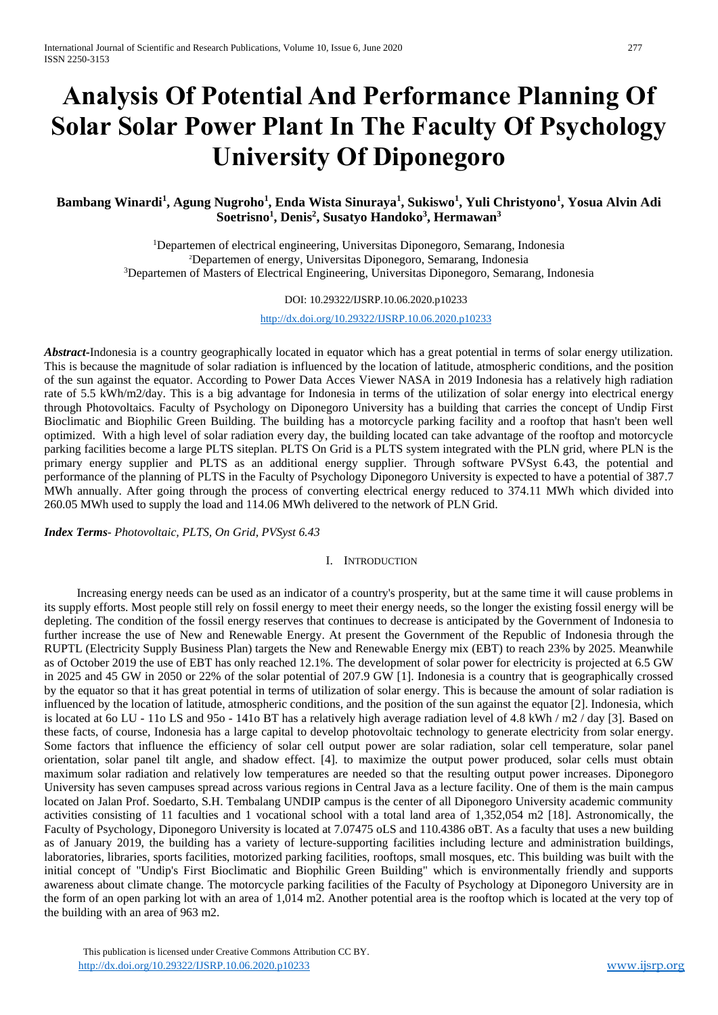# **Analysis Of Potential And Performance Planning Of Solar Solar Power Plant In The Faculty Of Psychology University Of Diponegoro**

## **Bambang Winardi<sup>1</sup> , Agung Nugroho<sup>1</sup> , Enda Wista Sinuraya<sup>1</sup> , Sukiswo<sup>1</sup> , Yuli Christyono<sup>1</sup> , Yosua Alvin Adi Soetrisno<sup>1</sup> , Denis<sup>2</sup> , Susatyo Handoko<sup>3</sup> , Hermawan<sup>3</sup>**

<sup>1</sup>Departemen of electrical engineering, Universitas Diponegoro, Semarang, Indonesia <sup>2</sup>Departemen of energy, Universitas Diponegoro, Semarang, Indonesia <sup>3</sup>Departemen of Masters of Electrical Engineering, Universitas Diponegoro, Semarang, Indonesia

#### DOI: 10.29322/IJSRP.10.06.2020.p10233

#### <http://dx.doi.org/10.29322/IJSRP.10.06.2020.p10233>

*Abstract***-**Indonesia is a country geographically located in equator which has a great potential in terms of solar energy utilization. This is because the magnitude of solar radiation is influenced by the location of latitude, atmospheric conditions, and the position of the sun against the equator. According to Power Data Acces Viewer NASA in 2019 Indonesia has a relatively high radiation rate of 5.5 kWh/m2/day. This is a big advantage for Indonesia in terms of the utilization of solar energy into electrical energy through Photovoltaics. Faculty of Psychology on Diponegoro University has a building that carries the concept of Undip First Bioclimatic and Biophilic Green Building. The building has a motorcycle parking facility and a rooftop that hasn't been well optimized. With a high level of solar radiation every day, the building located can take advantage of the rooftop and motorcycle parking facilities become a large PLTS siteplan. PLTS On Grid is a PLTS system integrated with the PLN grid, where PLN is the primary energy supplier and PLTS as an additional energy supplier. Through software PVSyst 6.43, the potential and performance of the planning of PLTS in the Faculty of Psychology Diponegoro University is expected to have a potential of 387.7 MWh annually. After going through the process of converting electrical energy reduced to 374.11 MWh which divided into 260.05 MWh used to supply the load and 114.06 MWh delivered to the network of PLN Grid.

*Index Terms*- *Photovoltaic, PLTS, On Grid, PVSyst 6.43*

## I. INTRODUCTION

Increasing energy needs can be used as an indicator of a country's prosperity, but at the same time it will cause problems in its supply efforts. Most people still rely on fossil energy to meet their energy needs, so the longer the existing fossil energy will be depleting. The condition of the fossil energy reserves that continues to decrease is anticipated by the Government of Indonesia to further increase the use of New and Renewable Energy. At present the Government of the Republic of Indonesia through the RUPTL (Electricity Supply Business Plan) targets the New and Renewable Energy mix (EBT) to reach 23% by 2025. Meanwhile as of October 2019 the use of EBT has only reached 12.1%. The development of solar power for electricity is projected at 6.5 GW in 2025 and 45 GW in 2050 or 22% of the solar potential of 207.9 GW [1]. Indonesia is a country that is geographically crossed by the equator so that it has great potential in terms of utilization of solar energy. This is because the amount of solar radiation is influenced by the location of latitude, atmospheric conditions, and the position of the sun against the equator [2]. Indonesia, which is located at 6o LU - 11o LS and 95o - 141o BT has a relatively high average radiation level of 4.8 kWh / m2 / day [3]. Based on these facts, of course, Indonesia has a large capital to develop photovoltaic technology to generate electricity from solar energy. Some factors that influence the efficiency of solar cell output power are solar radiation, solar cell temperature, solar panel orientation, solar panel tilt angle, and shadow effect. [4]. to maximize the output power produced, solar cells must obtain maximum solar radiation and relatively low temperatures are needed so that the resulting output power increases. Diponegoro University has seven campuses spread across various regions in Central Java as a lecture facility. One of them is the main campus located on Jalan Prof. Soedarto, S.H. Tembalang UNDIP campus is the center of all Diponegoro University academic community activities consisting of 11 faculties and 1 vocational school with a total land area of 1,352,054 m2 [18]. Astronomically, the Faculty of Psychology, Diponegoro University is located at 7.07475 oLS and 110.4386 oBT. As a faculty that uses a new building as of January 2019, the building has a variety of lecture-supporting facilities including lecture and administration buildings, laboratories, libraries, sports facilities, motorized parking facilities, rooftops, small mosques, etc. This building was built with the initial concept of "Undip's First Bioclimatic and Biophilic Green Building" which is environmentally friendly and supports awareness about climate change. The motorcycle parking facilities of the Faculty of Psychology at Diponegoro University are in the form of an open parking lot with an area of 1,014 m2. Another potential area is the rooftop which is located at the very top of the building with an area of 963 m2.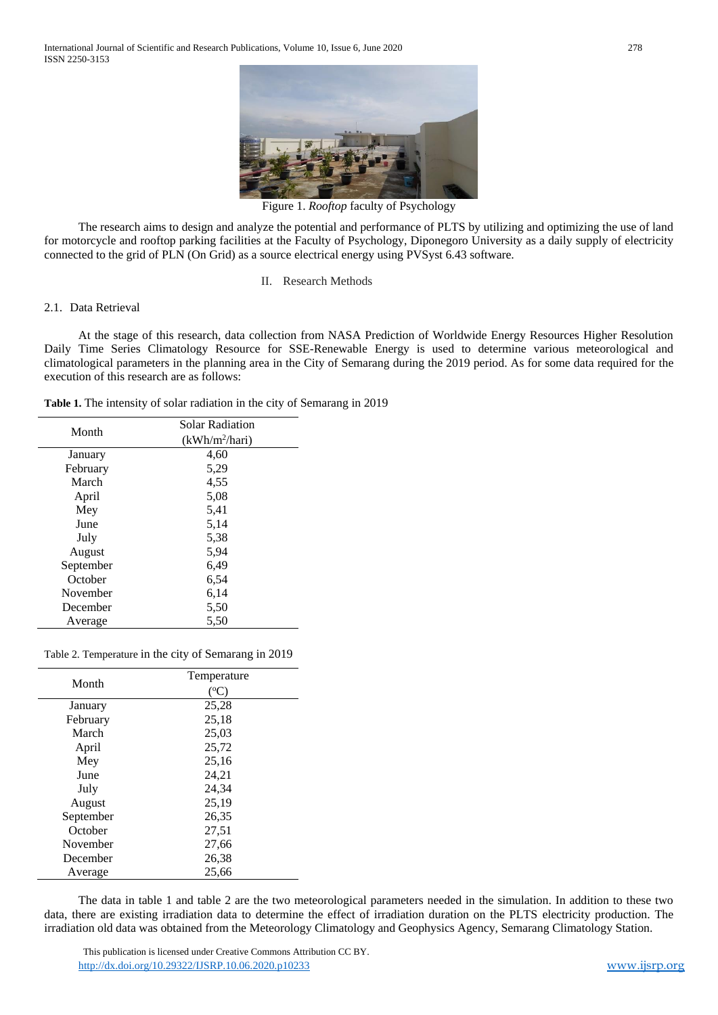

Figure 1. *Rooftop* faculty of Psychology

The research aims to design and analyze the potential and performance of PLTS by utilizing and optimizing the use of land for motorcycle and rooftop parking facilities at the Faculty of Psychology, Diponegoro University as a daily supply of electricity connected to the grid of PLN (On Grid) as a source electrical energy using PVSyst 6.43 software.

II. Research Methods

## 2.1. Data Retrieval

At the stage of this research, data collection from NASA Prediction of Worldwide Energy Resources Higher Resolution Daily Time Series Climatology Resource for SSE-Renewable Energy is used to determine various meteorological and climatological parameters in the planning area in the City of Semarang during the 2019 period. As for some data required for the execution of this research are as follows:

**Table 1.** The intensity of solar radiation in the city of Semarang in 2019

| Month     | <b>Solar Radiation</b> |
|-----------|------------------------|
|           | $(kWh/m^2/hari)$       |
| January   | 4,60                   |
| February  | 5,29                   |
| March     | 4,55                   |
| April     | 5,08                   |
| Mey       | 5,41                   |
| June      | 5,14                   |
| July      | 5,38                   |
| August    | 5,94                   |
| September | 6,49                   |
| October   | 6,54                   |
| November  | 6,14                   |
| December  | 5,50                   |
| Average   | 5,50                   |

#### Table 2. Temperature in the city of Semarang in 2019

| Month     | Temperature |
|-----------|-------------|
|           | $({}^oC)$   |
| January   | 25,28       |
| February  | 25,18       |
| March     | 25,03       |
| April     | 25,72       |
| Mey       | 25,16       |
| June      | 24,21       |
| July      | 24.34       |
| August    | 25,19       |
| September | 26,35       |
| October   | 27,51       |
| November  | 27,66       |
| December  | 26,38       |
| Average   | 25,66       |

The data in table 1 and table 2 are the two meteorological parameters needed in the simulation. In addition to these two data, there are existing irradiation data to determine the effect of irradiation duration on the PLTS electricity production. The irradiation old data was obtained from the Meteorology Climatology and Geophysics Agency, Semarang Climatology Station.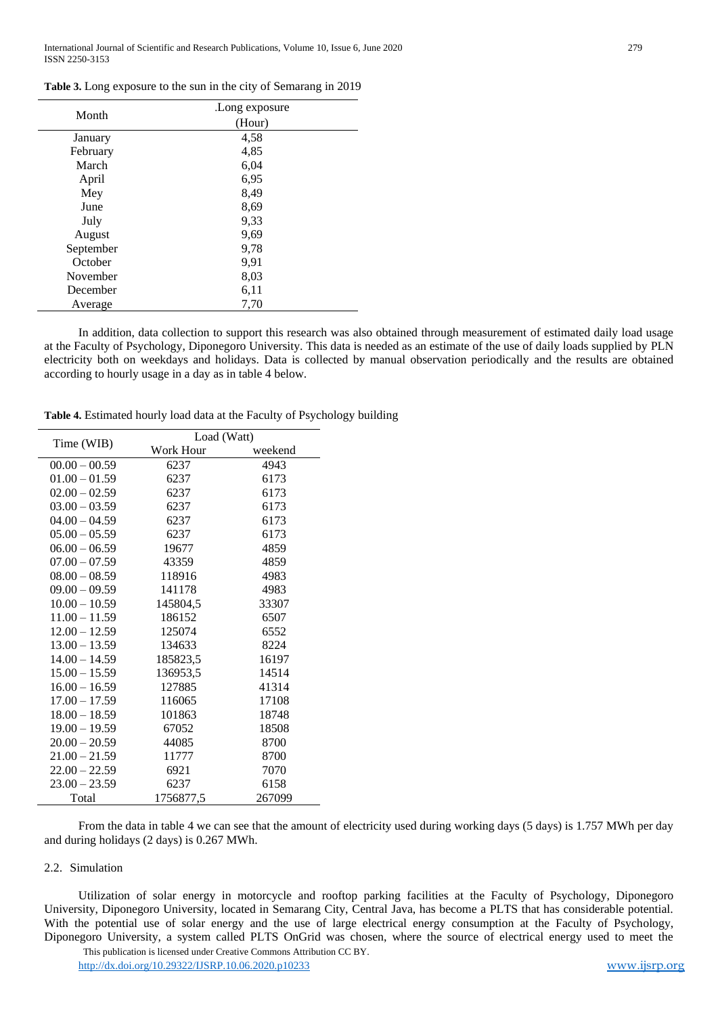| Month     | Long exposure |  |
|-----------|---------------|--|
|           | (Hour)        |  |
| January   | 4,58          |  |
| February  | 4,85          |  |
| March     | 6,04          |  |
| April     | 6,95          |  |
| Mey       | 8,49          |  |
| June      | 8,69          |  |
| July      | 9,33          |  |
| August    | 9,69          |  |
| September | 9,78          |  |
| October   | 9,91          |  |
| November  | 8,03          |  |
| December  | 6,11          |  |
| Average   | 7,70          |  |

**Table 3.** Long exposure to the sun in the city of Semarang in 2019

In addition, data collection to support this research was also obtained through measurement of estimated daily load usage at the Faculty of Psychology, Diponegoro University. This data is needed as an estimate of the use of daily loads supplied by PLN electricity both on weekdays and holidays. Data is collected by manual observation periodically and the results are obtained according to hourly usage in a day as in table 4 below.

**Table 4.** Estimated hourly load data at the Faculty of Psychology building

|                 | Load (Watt) |         |
|-----------------|-------------|---------|
| Time (WIB)      | Work Hour   | weekend |
| $00.00 - 00.59$ | 6237        | 4943    |
| $01.00 - 01.59$ | 6237        | 6173    |
| $02.00 - 02.59$ | 6237        | 6173    |
| $03.00 - 03.59$ | 6237        | 6173    |
| $04.00 - 04.59$ | 6237        | 6173    |
| $05.00 - 05.59$ | 6237        | 6173    |
| $06.00 - 06.59$ | 19677       | 4859    |
| $07.00 - 07.59$ | 43359       | 4859    |
| $08.00 - 08.59$ | 118916      | 4983    |
| $09.00 - 09.59$ | 141178      | 4983    |
| $10.00 - 10.59$ | 145804.5    | 33307   |
| $11.00 - 11.59$ | 186152      | 6507    |
| $12.00 - 12.59$ | 125074      | 6552    |
| $13.00 - 13.59$ | 134633      | 8224    |
| $14.00 - 14.59$ | 185823,5    | 16197   |
| $15.00 - 15.59$ | 136953,5    | 14514   |
| $16.00 - 16.59$ | 127885      | 41314   |
| $17.00 - 17.59$ | 116065      | 17108   |
| $18.00 - 18.59$ | 101863      | 18748   |
| $19.00 - 19.59$ | 67052       | 18508   |
| $20.00 - 20.59$ | 44085       | 8700    |
| $21.00 - 21.59$ | 11777       | 8700    |
| $22.00 - 22.59$ | 6921        | 7070    |
| $23.00 - 23.59$ | 6237        | 6158    |
| Total           | 1756877.5   | 267099  |

From the data in table 4 we can see that the amount of electricity used during working days (5 days) is 1.757 MWh per day and during holidays (2 days) is 0.267 MWh.

#### 2.2. Simulation

Utilization of solar energy in motorcycle and rooftop parking facilities at the Faculty of Psychology, Diponegoro University, Diponegoro University, located in Semarang City, Central Java, has become a PLTS that has considerable potential. With the potential use of solar energy and the use of large electrical energy consumption at the Faculty of Psychology, Diponegoro University, a system called PLTS OnGrid was chosen, where the source of electrical energy used to meet the

 This publication is licensed under Creative Commons Attribution CC BY. <http://dx.doi.org/10.29322/IJSRP.10.06.2020.p10233> [www.ijsrp.org](http://ijsrp.org/)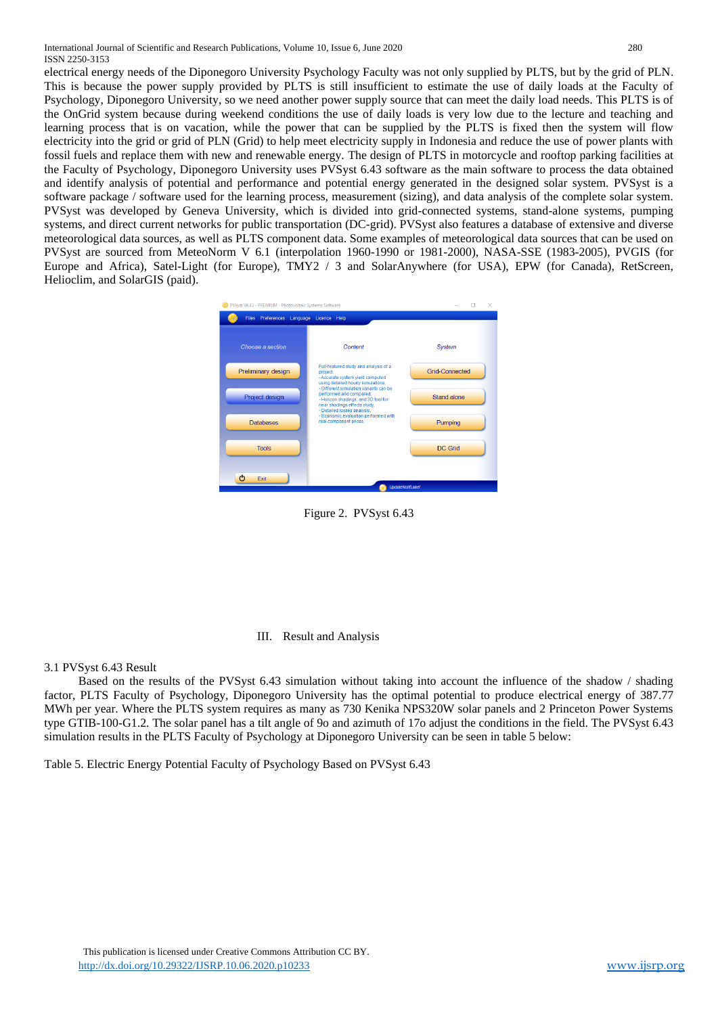International Journal of Scientific and Research Publications, Volume 10, Issue 6, June 2020 280 ISSN 2250-3153

electrical energy needs of the Diponegoro University Psychology Faculty was not only supplied by PLTS, but by the grid of PLN. This is because the power supply provided by PLTS is still insufficient to estimate the use of daily loads at the Faculty of Psychology, Diponegoro University, so we need another power supply source that can meet the daily load needs. This PLTS is of the OnGrid system because during weekend conditions the use of daily loads is very low due to the lecture and teaching and learning process that is on vacation, while the power that can be supplied by the PLTS is fixed then the system will flow electricity into the grid or grid of PLN (Grid) to help meet electricity supply in Indonesia and reduce the use of power plants with fossil fuels and replace them with new and renewable energy. The design of PLTS in motorcycle and rooftop parking facilities at the Faculty of Psychology, Diponegoro University uses PVSyst 6.43 software as the main software to process the data obtained and identify analysis of potential and performance and potential energy generated in the designed solar system. PVSyst is a software package / software used for the learning process, measurement (sizing), and data analysis of the complete solar system. PVSyst was developed by Geneva University, which is divided into grid-connected systems, stand-alone systems, pumping systems, and direct current networks for public transportation (DC-grid). PVSyst also features a database of extensive and diverse meteorological data sources, as well as PLTS component data. Some examples of meteorological data sources that can be used on PVSyst are sourced from MeteoNorm V 6.1 (interpolation 1960-1990 or 1981-2000), NASA-SSE (1983-2005), PVGIS (for Europe and Africa), Satel-Light (for Europe), TMY2 / 3 and SolarAnywhere (for USA), EPW (for Canada), RetScreen, Helioclim, and SolarGIS (paid).

| PVsyst V6.43 - PREMIUM - Photovoltaic Systems Software | $\times$                                                                                                                                                                                                      |                       |
|--------------------------------------------------------|---------------------------------------------------------------------------------------------------------------------------------------------------------------------------------------------------------------|-----------------------|
| Files Preferences Language Licence Help                |                                                                                                                                                                                                               |                       |
| Choose a section                                       | Content                                                                                                                                                                                                       | <b>System</b>         |
| Preliminary design                                     | Full-featured study and analysis of a<br>project.<br>- Accurate system yield computed                                                                                                                         | <b>Grid-Connected</b> |
| Project design                                         | using detailed hourly simulations,<br>- Different simulation variants can be<br>performed and compared.<br>- Horizon shadings, and 3D tool for<br>near shadings effects study,<br>- Detailed losses analysis, | Stand alone           |
| <b>Databases</b>                                       | - Economic evaluation performed with<br>real component prices.                                                                                                                                                | Pumping               |
| <b>Tools</b>                                           |                                                                                                                                                                                                               | DC Grid               |
| ረካ<br><b>Fxit</b>                                      | <b>UpdateNotifLabel</b>                                                                                                                                                                                       |                       |

Figure 2. PVSyst 6.43

III. Result and Analysis

## 3.1 PVSyst 6.43 Result

Based on the results of the PVSyst 6.43 simulation without taking into account the influence of the shadow / shading factor, PLTS Faculty of Psychology, Diponegoro University has the optimal potential to produce electrical energy of 387.77 MWh per year. Where the PLTS system requires as many as 730 Kenika NPS320W solar panels and 2 Princeton Power Systems type GTIB-100-G1.2. The solar panel has a tilt angle of 9o and azimuth of 17o adjust the conditions in the field. The PVSyst 6.43 simulation results in the PLTS Faculty of Psychology at Diponegoro University can be seen in table 5 below:

Table 5. Electric Energy Potential Faculty of Psychology Based on PVSyst 6.43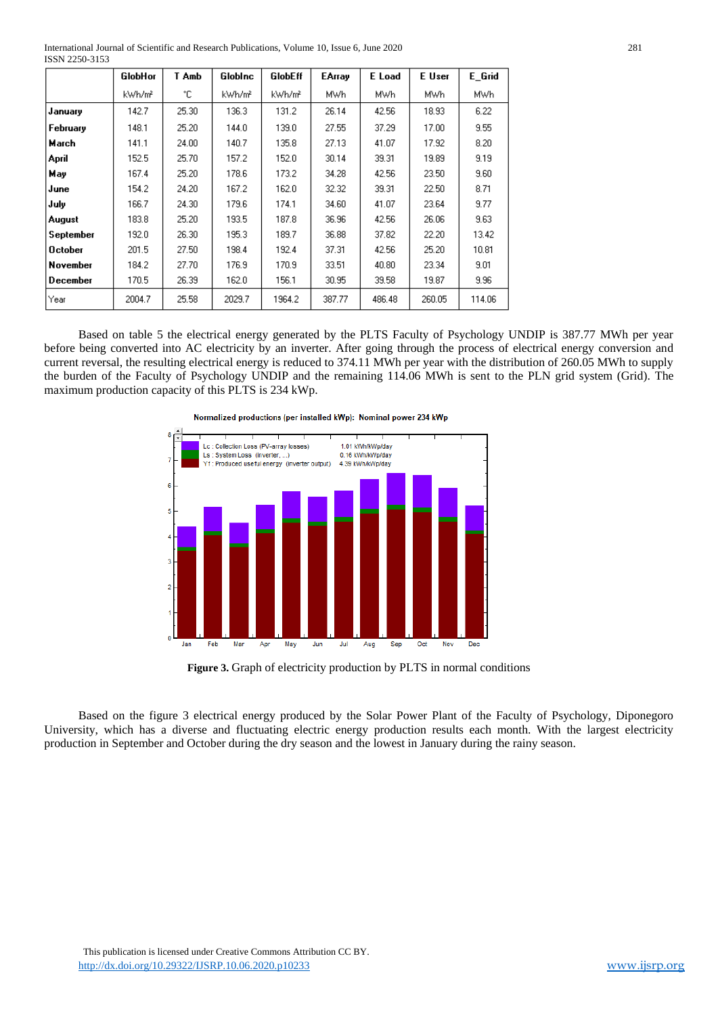International Journal of Scientific and Research Publications, Volume 10, Issue 6, June 2020 281 ISSN 2250-3153

|           | <b>GlobHor</b>     | T Amb | <b>GlobInc</b> | <b>GlobEff</b>     | EArray | E Load | E User | E Grid |
|-----------|--------------------|-------|----------------|--------------------|--------|--------|--------|--------|
|           | kWh/m <sup>2</sup> | ۴C    | kWh/m?         | kWh/m <sup>2</sup> | MWh.   | MWh.   | MWh.   | MWh.   |
| January   | 142.7              | 25.30 | 136.3          | 131.2              | 26.14  | 42.56  | 18.93  | 6.22   |
| February  | 148.1              | 25.20 | 144.0          | 139.0              | 27.55  | 37.29  | 17.00  | 9.55   |
| March     | 141.1              | 24.00 | 140.7          | 135.8              | 27.13  | 41.07  | 17.92  | 8.20   |
| April     | 152.5              | 25.70 | 157.2          | 152.0              | 30.14  | 39.31  | 19.89  | 9.19   |
| May       | 167.4              | 25.20 | 178.6          | 173.2              | 34.28  | 42.56  | 23.50  | 9.60   |
| June      | 154.2              | 24.20 | 167.2          | 162.0              | 32.32  | 39.31  | 22.50  | 8.71   |
| July      | 166.7              | 24.30 | 179.6          | 174.1              | 34.60  | 41.07  | 23.64  | 9.77   |
| August    | 183.8              | 25.20 | 193.5          | 187.8              | 36.96  | 42.56  | 26.06  | 9.63   |
| September | 192.0              | 26.30 | 195.3          | 189.7              | 36.88  | 37.82  | 22.20  | 13.42  |
| October   | 201.5              | 27.50 | 198.4          | 192.4              | 37.31  | 42.56  | 25.20  | 10.81  |
| November  | 184.2              | 27.70 | 176.9          | 170.9              | 33.51  | 40.80  | 23.34  | 9.01   |
| December  | 170.5              | 26.39 | 162.0          | 156.1              | 30.95  | 39.58  | 19.87  | 9.96   |
| Year      | 2004.7             | 25.58 | 2029.7         | 1964.2             | 387.77 | 486.48 | 260.05 | 114.06 |

Based on table 5 the electrical energy generated by the PLTS Faculty of Psychology UNDIP is 387.77 MWh per year before being converted into AC electricity by an inverter. After going through the process of electrical energy conversion and current reversal, the resulting electrical energy is reduced to 374.11 MWh per year with the distribution of 260.05 MWh to supply the burden of the Faculty of Psychology UNDIP and the remaining 114.06 MWh is sent to the PLN grid system (Grid). The maximum production capacity of this PLTS is 234 kWp.



**Figure 3.** Graph of electricity production by PLTS in normal conditions

Based on the figure 3 electrical energy produced by the Solar Power Plant of the Faculty of Psychology, Diponegoro University, which has a diverse and fluctuating electric energy production results each month. With the largest electricity production in September and October during the dry season and the lowest in January during the rainy season.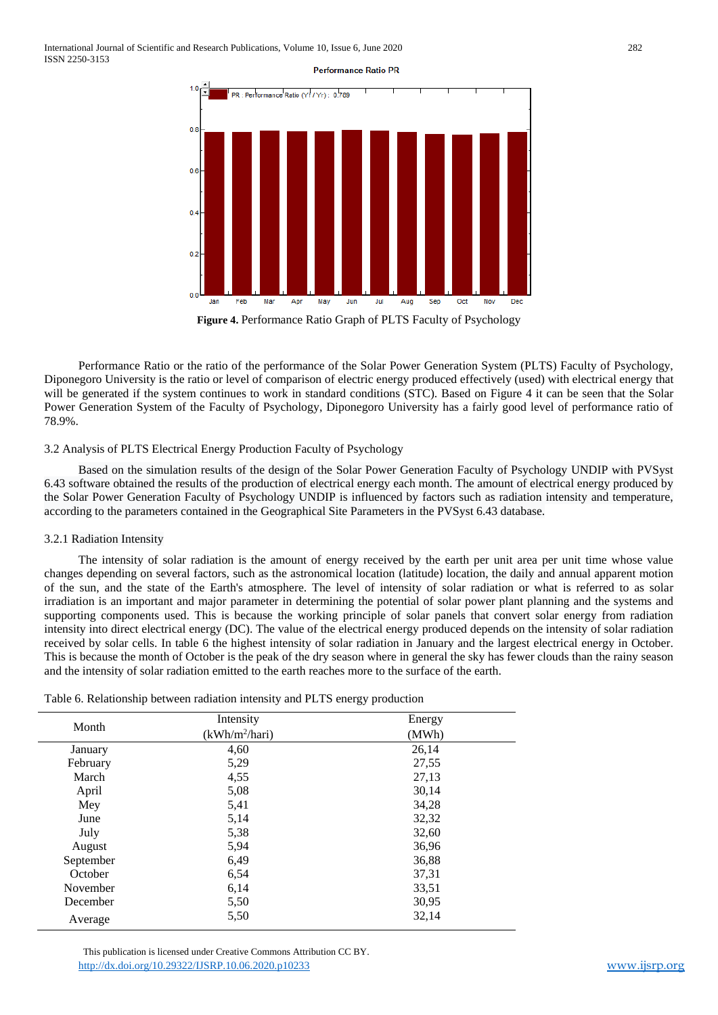

**Figure 4.** Performance Ratio Graph of PLTS Faculty of Psychology

Performance Ratio or the ratio of the performance of the Solar Power Generation System (PLTS) Faculty of Psychology, Diponegoro University is the ratio or level of comparison of electric energy produced effectively (used) with electrical energy that will be generated if the system continues to work in standard conditions (STC). Based on Figure 4 it can be seen that the Solar Power Generation System of the Faculty of Psychology, Diponegoro University has a fairly good level of performance ratio of 78.9%.

## 3.2 Analysis of PLTS Electrical Energy Production Faculty of Psychology

Based on the simulation results of the design of the Solar Power Generation Faculty of Psychology UNDIP with PVSyst 6.43 software obtained the results of the production of electrical energy each month. The amount of electrical energy produced by the Solar Power Generation Faculty of Psychology UNDIP is influenced by factors such as radiation intensity and temperature, according to the parameters contained in the Geographical Site Parameters in the PVSyst 6.43 database.

## 3.2.1 Radiation Intensity

The intensity of solar radiation is the amount of energy received by the earth per unit area per unit time whose value changes depending on several factors, such as the astronomical location (latitude) location, the daily and annual apparent motion of the sun, and the state of the Earth's atmosphere. The level of intensity of solar radiation or what is referred to as solar irradiation is an important and major parameter in determining the potential of solar power plant planning and the systems and supporting components used. This is because the working principle of solar panels that convert solar energy from radiation intensity into direct electrical energy (DC). The value of the electrical energy produced depends on the intensity of solar radiation received by solar cells. In table 6 the highest intensity of solar radiation in January and the largest electrical energy in October. This is because the month of October is the peak of the dry season where in general the sky has fewer clouds than the rainy season and the intensity of solar radiation emitted to the earth reaches more to the surface of the earth.

| Table 6. Relationship between radiation intensity and PLTS energy production |  |  |  |
|------------------------------------------------------------------------------|--|--|--|
|                                                                              |  |  |  |

| Month     | Intensity        | Energy |
|-----------|------------------|--------|
|           | $(kWh/m^2/hari)$ | (MWh)  |
| January   | 4,60             | 26,14  |
| February  | 5,29             | 27,55  |
| March     | 4,55             | 27,13  |
| April     | 5,08             | 30,14  |
| Mey       | 5,41             | 34,28  |
| June      | 5,14             | 32,32  |
| July      | 5,38             | 32,60  |
| August    | 5,94             | 36,96  |
| September | 6,49             | 36,88  |
| October   | 6,54             | 37,31  |
| November  | 6,14             | 33,51  |
| December  | 5,50             | 30,95  |
| Average   | 5,50             | 32,14  |

 This publication is licensed under Creative Commons Attribution CC BY. <http://dx.doi.org/10.29322/IJSRP.10.06.2020.p10233> [www.ijsrp.org](http://ijsrp.org/)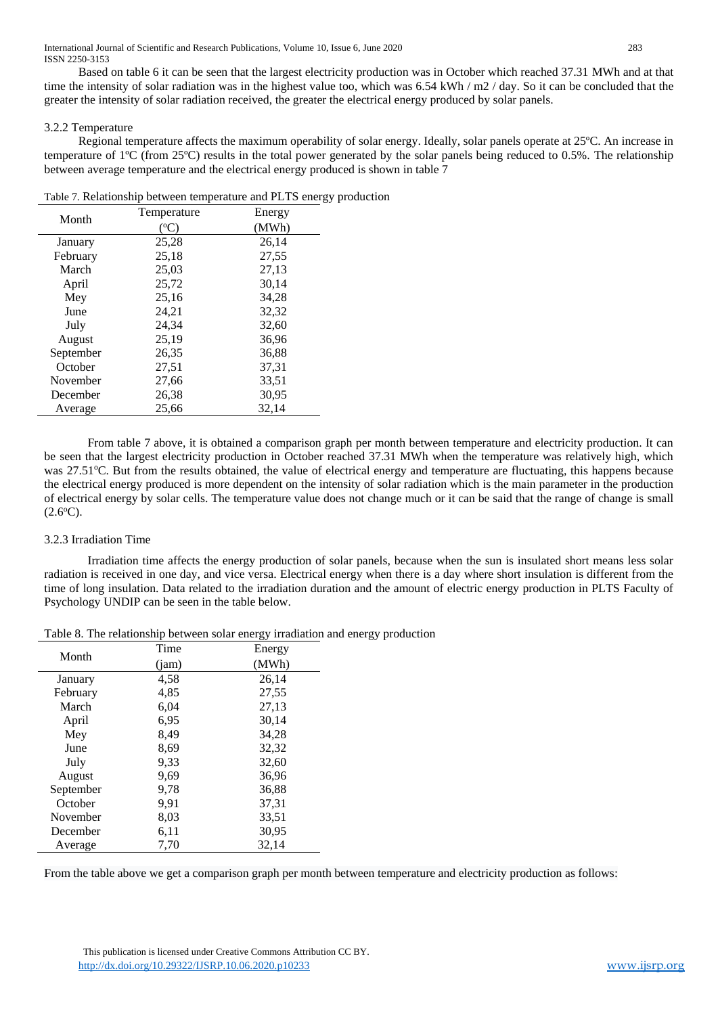International Journal of Scientific and Research Publications, Volume 10, Issue 6, June 2020 283 ISSN 2250-3153

Based on table 6 it can be seen that the largest electricity production was in October which reached 37.31 MWh and at that time the intensity of solar radiation was in the highest value too, which was 6.54 kWh / m2 / day. So it can be concluded that the greater the intensity of solar radiation received, the greater the electrical energy produced by solar panels.

## 3.2.2 Temperature

Regional temperature affects the maximum operability of solar energy. Ideally, solar panels operate at 25ºC. An increase in temperature of 1ºC (from 25ºC) results in the total power generated by the solar panels being reduced to 0.5%. The relationship between average temperature and the electrical energy produced is shown in table 7

|  | Table 7. Relationship between temperature and PLTS energy production |
|--|----------------------------------------------------------------------|
|  |                                                                      |

| Month     | Temperature | Energy |
|-----------|-------------|--------|
|           | (°C)        | (MWh)  |
| January   | 25,28       | 26,14  |
| February  | 25,18       | 27,55  |
| March     | 25,03       | 27,13  |
| April     | 25,72       | 30,14  |
| Mey       | 25,16       | 34,28  |
| June      | 24,21       | 32,32  |
| July      | 24,34       | 32,60  |
| August    | 25,19       | 36,96  |
| September | 26,35       | 36,88  |
| October   | 27,51       | 37,31  |
| November  | 27,66       | 33,51  |
| December  | 26,38       | 30,95  |
| Average   | 25,66       | 32.14  |

From table 7 above, it is obtained a comparison graph per month between temperature and electricity production. It can be seen that the largest electricity production in October reached 37.31 MWh when the temperature was relatively high, which was 27.51<sup>o</sup>C. But from the results obtained, the value of electrical energy and temperature are fluctuating, this happens because the electrical energy produced is more dependent on the intensity of solar radiation which is the main parameter in the production of electrical energy by solar cells. The temperature value does not change much or it can be said that the range of change is small  $(2.6^{\circ}C).$ 

## 3.2.3 Irradiation Time

Irradiation time affects the energy production of solar panels, because when the sun is insulated short means less solar radiation is received in one day, and vice versa. Electrical energy when there is a day where short insulation is different from the time of long insulation. Data related to the irradiation duration and the amount of electric energy production in PLTS Faculty of Psychology UNDIP can be seen in the table below.

Table 8. The relationship between solar energy irradiation and energy production

| Month     | Time  | Energy |
|-----------|-------|--------|
|           | (iam) | (MWh)  |
| January   | 4,58  | 26,14  |
| February  | 4.85  | 27,55  |
| March     | 6,04  | 27,13  |
| April     | 6.95  | 30,14  |
| Mey       | 8.49  | 34,28  |
| June      | 8,69  | 32,32  |
| July      | 9.33  | 32,60  |
| August    | 9,69  | 36.96  |
| September | 9,78  | 36,88  |
| October   | 9.91  | 37,31  |
| November  | 8,03  | 33,51  |
| December  | 6,11  | 30,95  |
| Average   | 7,70  | 32,14  |

From the table above we get a comparison graph per month between temperature and electricity production as follows: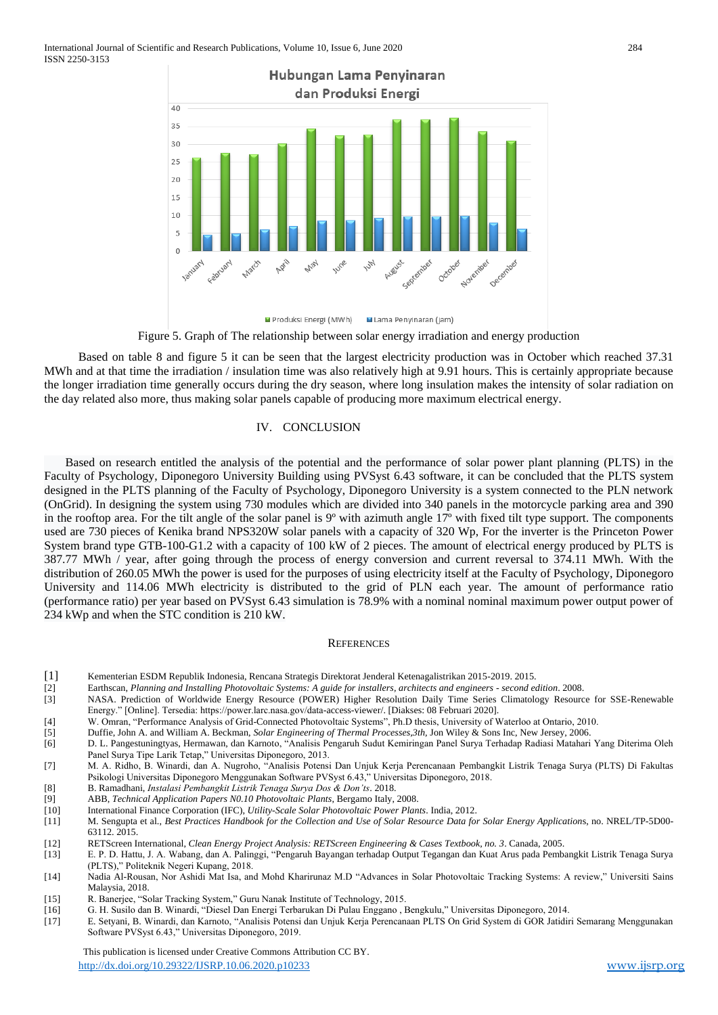

Figure 5. Graph of The relationship between solar energy irradiation and energy production

Based on table 8 and figure 5 it can be seen that the largest electricity production was in October which reached 37.31 MWh and at that time the irradiation / insulation time was also relatively high at 9.91 hours. This is certainly appropriate because the longer irradiation time generally occurs during the dry season, where long insulation makes the intensity of solar radiation on the day related also more, thus making solar panels capable of producing more maximum electrical energy.

## IV. CONCLUSION

 Based on research entitled the analysis of the potential and the performance of solar power plant planning (PLTS) in the Faculty of Psychology, Diponegoro University Building using PVSyst 6.43 software, it can be concluded that the PLTS system designed in the PLTS planning of the Faculty of Psychology, Diponegoro University is a system connected to the PLN network (OnGrid). In designing the system using 730 modules which are divided into 340 panels in the motorcycle parking area and 390 in the rooftop area. For the tilt angle of the solar panel is 9º with azimuth angle 17º with fixed tilt type support. The components used are 730 pieces of Kenika brand NPS320W solar panels with a capacity of 320 Wp, For the inverter is the Princeton Power System brand type GTB-100-G1.2 with a capacity of 100 kW of 2 pieces. The amount of electrical energy produced by PLTS is 387.77 MWh / year, after going through the process of energy conversion and current reversal to 374.11 MWh. With the distribution of 260.05 MWh the power is used for the purposes of using electricity itself at the Faculty of Psychology, Diponegoro University and 114.06 MWh electricity is distributed to the grid of PLN each year. The amount of performance ratio (performance ratio) per year based on PVSyst 6.43 simulation is 78.9% with a nominal nominal maximum power output power of 234 kWp and when the STC condition is 210 kW.

#### **REFERENCES**

- [1] Kementerian ESDM Republik Indonesia, Rencana Strategis Direktorat Jenderal Ketenagalistrikan 2015-2019. 2015.
- [2] Earthscan, *Planning and Installing Photovoltaic Systems: A guide for installers, architects and engineers - second edition*. 2008.
- [3] NASA. Prediction of Worldwide Energy Resource (POWER) Higher Resolution Daily Time Series Climatology Resource for SSE-Renewable Energy." [Online]. Tersedia: https://power.larc.nasa.gov/data-access-viewer/. [Diakses: 08 Februari 2020].
- [4] W. Omran, "Performance Analysis of Grid-Connected Photovoltaic Systems", Ph.D thesis, University of Waterloo at Ontario, 2010.
- [5] Duffie, John A. and William A. Beckman, *Solar Engineering of Thermal Processes,3th,* Jon Wiley & Sons Inc, New Jersey, 2006.
- [6] D. L. Pangestuningtyas, Hermawan, dan Karnoto, "Analisis Pengaruh Sudut Kemiringan Panel Surya Terhadap Radiasi Matahari Yang Diterima Oleh Panel Surya Tipe Larik Tetap," Universitas Diponegoro, 2013.

[7] M. A. Ridho, B. Winardi, dan A. Nugroho, "Analisis Potensi Dan Unjuk Kerja Perencanaan Pembangkit Listrik Tenaga Surya (PLTS) Di Fakultas Psikologi Universitas Diponegoro Menggunakan Software PVSyst 6.43," Universitas Diponegoro, 2018.

- [8] B. Ramadhani, *Instalasi Pembangkit Listrik Tenaga Surya Dos & Don'ts*. 2018.
- [9] ABB, *Technical Application Papers N0.10 Photovoltaic Plants*, Bergamo Italy, 2008. [10] International Finance Corporation (IFC), *Utility-Scale Solar Photovoltaic Power Plants*. India, 2012.
- [11] M. Sengupta et al., *Best Practices Handbook for the Collection and Use of Solar Resource Data for Solar Energy Application*s, no. NREL/TP-5D00- 63112. 2015.
- [12] RETScreen International, *Clean Energy Project Analysis: RETScreen Engineering & Cases Textbook, no. 3*. Canada, 2005.
- [13] E. P. D. Hattu, J. A. Wabang, dan A. Palinggi, "Pengaruh Bayangan terhadap Output Tegangan dan Kuat Arus pada Pembangkit Listrik Tenaga Surya (PLTS)," Politeknik Negeri Kupang, 2018.
- [14] Nadia Al-Rousan, Nor Ashidi Mat Isa, and Mohd Kharirunaz M.D "Advances in Solar Photovoltaic Tracking Systems: A review," Universiti Sains Malaysia, 2018.
- [15] R. Banerjee, "Solar Tracking System," Guru Nanak Institute of Technology, 2015.
- [16] G. H. Susilo dan B. Winardi, "Diesel Dan Energi Terbarukan Di Pulau Enggano , Bengkulu," Universitas Diponegoro, 2014.
- [17] E. Setyani, B. Winardi, dan Karnoto, "Analisis Potensi dan Unjuk Kerja Perencanaan PLTS On Grid System di GOR Jatidiri Semarang Menggunakan Software PVSyst 6.43," Universitas Diponegoro, 2019.